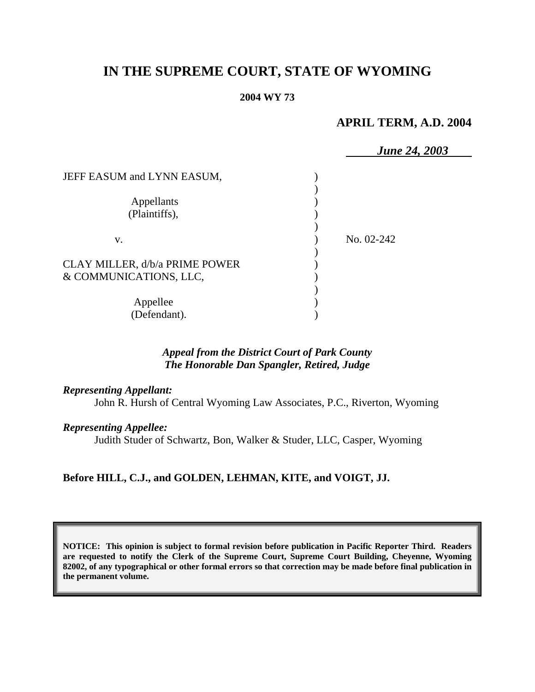# **IN THE SUPREME COURT, STATE OF WYOMING**

#### **2004 WY 73**

# **APRIL TERM, A.D. 2004**

|                                | <b>June 24, 2003</b> |
|--------------------------------|----------------------|
| JEFF EASUM and LYNN EASUM,     |                      |
|                                |                      |
| Appellants                     |                      |
| (Plaintiffs),                  |                      |
|                                |                      |
| V.                             | No. 02-242           |
|                                |                      |
| CLAY MILLER, d/b/a PRIME POWER |                      |
| & COMMUNICATIONS, LLC,         |                      |
|                                |                      |
| Appellee                       |                      |
| (Defendant).                   |                      |

#### *Appeal from the District Court of Park County The Honorable Dan Spangler, Retired, Judge*

#### *Representing Appellant:*

John R. Hursh of Central Wyoming Law Associates, P.C., Riverton, Wyoming

#### *Representing Appellee:*

Judith Studer of Schwartz, Bon, Walker & Studer, LLC, Casper, Wyoming

#### **Before HILL, C.J., and GOLDEN, LEHMAN, KITE, and VOIGT, JJ.**

**NOTICE: This opinion is subject to formal revision before publication in Pacific Reporter Third. Readers are requested to notify the Clerk of the Supreme Court, Supreme Court Building, Cheyenne, Wyoming 82002, of any typographical or other formal errors so that correction may be made before final publication in the permanent volume.**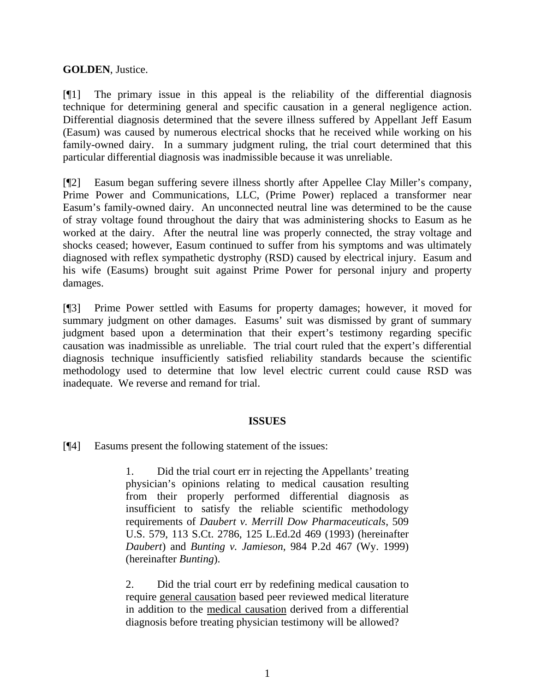## **GOLDEN**, Justice.

[¶1] The primary issue in this appeal is the reliability of the differential diagnosis technique for determining general and specific causation in a general negligence action. Differential diagnosis determined that the severe illness suffered by Appellant Jeff Easum (Easum) was caused by numerous electrical shocks that he received while working on his family-owned dairy. In a summary judgment ruling, the trial court determined that this particular differential diagnosis was inadmissible because it was unreliable.

[¶2] Easum began suffering severe illness shortly after Appellee Clay Miller's company, Prime Power and Communications, LLC, (Prime Power) replaced a transformer near Easum's family-owned dairy. An unconnected neutral line was determined to be the cause of stray voltage found throughout the dairy that was administering shocks to Easum as he worked at the dairy. After the neutral line was properly connected, the stray voltage and shocks ceased; however, Easum continued to suffer from his symptoms and was ultimately diagnosed with reflex sympathetic dystrophy (RSD) caused by electrical injury. Easum and his wife (Easums) brought suit against Prime Power for personal injury and property damages.

[¶3] Prime Power settled with Easums for property damages; however, it moved for summary judgment on other damages. Easums' suit was dismissed by grant of summary judgment based upon a determination that their expert's testimony regarding specific causation was inadmissible as unreliable. The trial court ruled that the expert's differential diagnosis technique insufficiently satisfied reliability standards because the scientific methodology used to determine that low level electric current could cause RSD was inadequate. We reverse and remand for trial.

## **ISSUES**

[¶4] Easums present the following statement of the issues:

1. Did the trial court err in rejecting the Appellants' treating physician's opinions relating to medical causation resulting from their properly performed differential diagnosis as insufficient to satisfy the reliable scientific methodology requirements of *Daubert v. Merrill Dow Pharmaceuticals*, 509 U.S. 579, 113 S.Ct. 2786, 125 L.Ed.2d 469 (1993) (hereinafter *Daubert*) and *Bunting v. Jamieson*, 984 P.2d 467 (Wy. 1999) (hereinafter *Bunting*).

2. Did the trial court err by redefining medical causation to require general causation based peer reviewed medical literature in addition to the medical causation derived from a differential diagnosis before treating physician testimony will be allowed?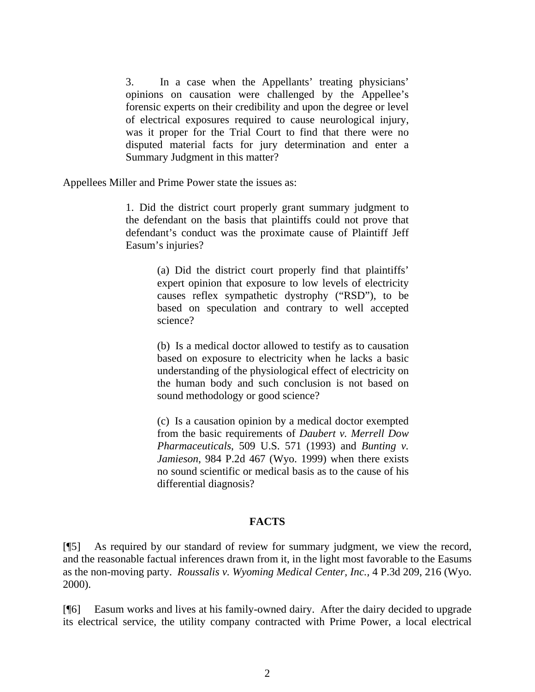3. In a case when the Appellants' treating physicians' opinions on causation were challenged by the Appellee's forensic experts on their credibility and upon the degree or level of electrical exposures required to cause neurological injury, was it proper for the Trial Court to find that there were no disputed material facts for jury determination and enter a Summary Judgment in this matter?

Appellees Miller and Prime Power state the issues as:

1. Did the district court properly grant summary judgment to the defendant on the basis that plaintiffs could not prove that defendant's conduct was the proximate cause of Plaintiff Jeff Easum's injuries?

> (a) Did the district court properly find that plaintiffs' expert opinion that exposure to low levels of electricity causes reflex sympathetic dystrophy ("RSD"), to be based on speculation and contrary to well accepted science?

> (b) Is a medical doctor allowed to testify as to causation based on exposure to electricity when he lacks a basic understanding of the physiological effect of electricity on the human body and such conclusion is not based on sound methodology or good science?

> (c) Is a causation opinion by a medical doctor exempted from the basic requirements of *Daubert v. Merrell Dow Pharmaceuticals*, 509 U.S. 571 (1993) and *Bunting v. Jamieson*, 984 P.2d 467 (Wyo. 1999) when there exists no sound scientific or medical basis as to the cause of his differential diagnosis?

## **FACTS**

[¶5] As required by our standard of review for summary judgment, we view the record, and the reasonable factual inferences drawn from it, in the light most favorable to the Easums as the non-moving party. *Roussalis v. Wyoming Medical Center, Inc.,* 4 P.3d 209, 216 (Wyo. 2000).

[¶6] Easum works and lives at his family-owned dairy. After the dairy decided to upgrade its electrical service, the utility company contracted with Prime Power, a local electrical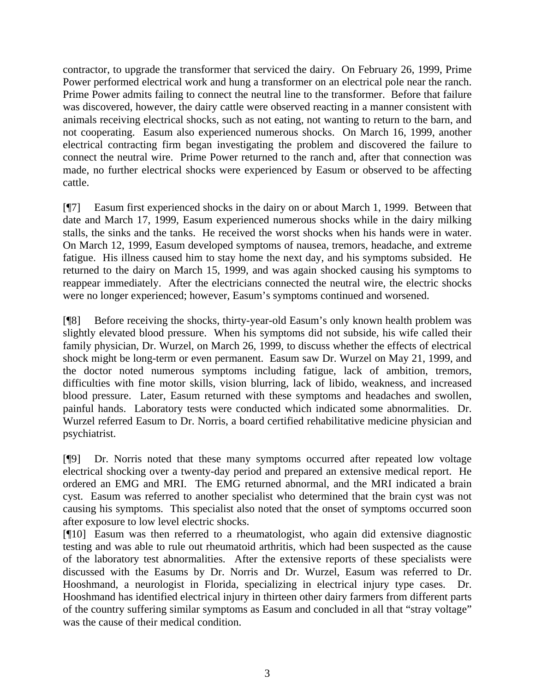contractor, to upgrade the transformer that serviced the dairy. On February 26, 1999, Prime Power performed electrical work and hung a transformer on an electrical pole near the ranch. Prime Power admits failing to connect the neutral line to the transformer. Before that failure was discovered, however, the dairy cattle were observed reacting in a manner consistent with animals receiving electrical shocks, such as not eating, not wanting to return to the barn, and not cooperating. Easum also experienced numerous shocks. On March 16, 1999, another electrical contracting firm began investigating the problem and discovered the failure to connect the neutral wire. Prime Power returned to the ranch and, after that connection was made, no further electrical shocks were experienced by Easum or observed to be affecting cattle.

[¶7] Easum first experienced shocks in the dairy on or about March 1, 1999. Between that date and March 17, 1999, Easum experienced numerous shocks while in the dairy milking stalls, the sinks and the tanks. He received the worst shocks when his hands were in water. On March 12, 1999, Easum developed symptoms of nausea, tremors, headache, and extreme fatigue. His illness caused him to stay home the next day, and his symptoms subsided. He returned to the dairy on March 15, 1999, and was again shocked causing his symptoms to reappear immediately. After the electricians connected the neutral wire, the electric shocks were no longer experienced; however, Easum's symptoms continued and worsened.

[¶8] Before receiving the shocks, thirty-year-old Easum's only known health problem was slightly elevated blood pressure. When his symptoms did not subside, his wife called their family physician, Dr. Wurzel, on March 26, 1999, to discuss whether the effects of electrical shock might be long-term or even permanent. Easum saw Dr. Wurzel on May 21, 1999, and the doctor noted numerous symptoms including fatigue, lack of ambition, tremors, difficulties with fine motor skills, vision blurring, lack of libido, weakness, and increased blood pressure. Later, Easum returned with these symptoms and headaches and swollen, painful hands. Laboratory tests were conducted which indicated some abnormalities. Dr. Wurzel referred Easum to Dr. Norris, a board certified rehabilitative medicine physician and psychiatrist.

[¶9] Dr. Norris noted that these many symptoms occurred after repeated low voltage electrical shocking over a twenty-day period and prepared an extensive medical report. He ordered an EMG and MRI. The EMG returned abnormal, and the MRI indicated a brain cyst. Easum was referred to another specialist who determined that the brain cyst was not causing his symptoms. This specialist also noted that the onset of symptoms occurred soon after exposure to low level electric shocks.

[¶10] Easum was then referred to a rheumatologist, who again did extensive diagnostic testing and was able to rule out rheumatoid arthritis, which had been suspected as the cause of the laboratory test abnormalities. After the extensive reports of these specialists were discussed with the Easums by Dr. Norris and Dr. Wurzel, Easum was referred to Dr. Hooshmand, a neurologist in Florida, specializing in electrical injury type cases. Dr. Hooshmand has identified electrical injury in thirteen other dairy farmers from different parts of the country suffering similar symptoms as Easum and concluded in all that "stray voltage" was the cause of their medical condition.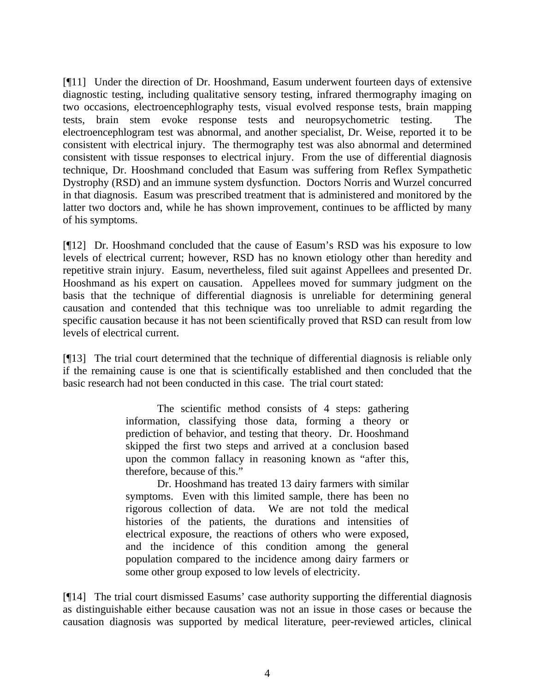[¶11] Under the direction of Dr. Hooshmand, Easum underwent fourteen days of extensive diagnostic testing, including qualitative sensory testing, infrared thermography imaging on two occasions, electroencephlography tests, visual evolved response tests, brain mapping tests, brain stem evoke response tests and neuropsychometric testing. The electroencephlogram test was abnormal, and another specialist, Dr. Weise, reported it to be consistent with electrical injury. The thermography test was also abnormal and determined consistent with tissue responses to electrical injury. From the use of differential diagnosis technique, Dr. Hooshmand concluded that Easum was suffering from Reflex Sympathetic Dystrophy (RSD) and an immune system dysfunction. Doctors Norris and Wurzel concurred in that diagnosis. Easum was prescribed treatment that is administered and monitored by the latter two doctors and, while he has shown improvement, continues to be afflicted by many of his symptoms.

[¶12] Dr. Hooshmand concluded that the cause of Easum's RSD was his exposure to low levels of electrical current; however, RSD has no known etiology other than heredity and repetitive strain injury. Easum, nevertheless, filed suit against Appellees and presented Dr. Hooshmand as his expert on causation. Appellees moved for summary judgment on the basis that the technique of differential diagnosis is unreliable for determining general causation and contended that this technique was too unreliable to admit regarding the specific causation because it has not been scientifically proved that RSD can result from low levels of electrical current.

[¶13] The trial court determined that the technique of differential diagnosis is reliable only if the remaining cause is one that is scientifically established and then concluded that the basic research had not been conducted in this case. The trial court stated:

> The scientific method consists of 4 steps: gathering information, classifying those data, forming a theory or prediction of behavior, and testing that theory. Dr. Hooshmand skipped the first two steps and arrived at a conclusion based upon the common fallacy in reasoning known as "after this, therefore, because of this."

> Dr. Hooshmand has treated 13 dairy farmers with similar symptoms. Even with this limited sample, there has been no rigorous collection of data. We are not told the medical histories of the patients, the durations and intensities of electrical exposure, the reactions of others who were exposed, and the incidence of this condition among the general population compared to the incidence among dairy farmers or some other group exposed to low levels of electricity.

[¶14] The trial court dismissed Easums' case authority supporting the differential diagnosis as distinguishable either because causation was not an issue in those cases or because the causation diagnosis was supported by medical literature, peer-reviewed articles, clinical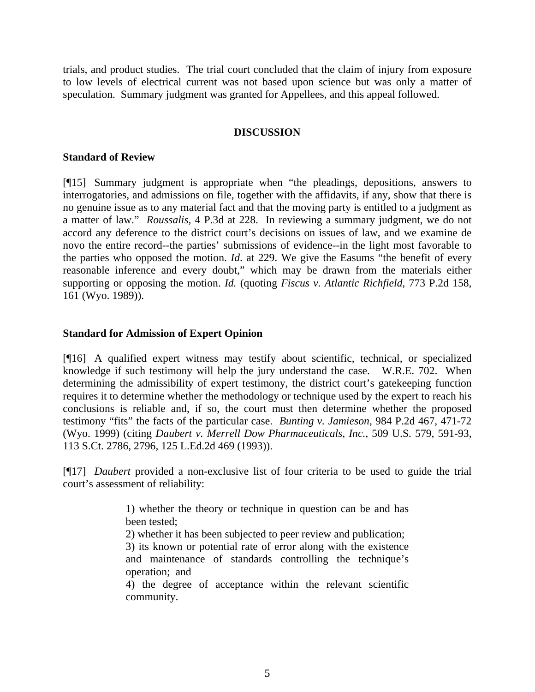trials, and product studies. The trial court concluded that the claim of injury from exposure to low levels of electrical current was not based upon science but was only a matter of speculation. Summary judgment was granted for Appellees, and this appeal followed.

#### **DISCUSSION**

#### **Standard of Review**

[¶15] Summary judgment is appropriate when "the pleadings, depositions, answers to interrogatories, and admissions on file, together with the affidavits, if any, show that there is no genuine issue as to any material fact and that the moving party is entitled to a judgment as a matter of law." *Roussalis,* 4 P.3d at 228. In reviewing a summary judgment, we do not accord any deference to the district court's decisions on issues of law, and we examine de novo the entire record--the parties' submissions of evidence--in the light most favorable to the parties who opposed the motion. *Id*. at 229. We give the Easums "the benefit of every reasonable inference and every doubt," which may be drawn from the materials either supporting or opposing the motion. *Id.* (quoting *Fiscus v. Atlantic Richfield*, 773 P.2d 158, 161 (Wyo. 1989)).

## **Standard for Admission of Expert Opinion**

[¶16] A qualified expert witness may testify about scientific, technical, or specialized knowledge if such testimony will help the jury understand the case. W.R.E. 702. When determining the admissibility of expert testimony, the district court's gatekeeping function requires it to determine whether the methodology or technique used by the expert to reach his conclusions is reliable and, if so, the court must then determine whether the proposed testimony "fits" the facts of the particular case. *Bunting v. Jamieson*, 984 P.2d 467, 471-72 (Wyo. 1999) (citing *Daubert v. Merrell Dow Pharmaceuticals*, *Inc.,* 509 U.S. 579, 591-93, 113 S.Ct. 2786, 2796, 125 L.Ed.2d 469 (1993)).

[¶17] *Daubert* provided a non-exclusive list of four criteria to be used to guide the trial court's assessment of reliability:

> 1) whether the theory or technique in question can be and has been tested;

2) whether it has been subjected to peer review and publication;

3) its known or potential rate of error along with the existence and maintenance of standards controlling the technique's operation; and

4) the degree of acceptance within the relevant scientific community.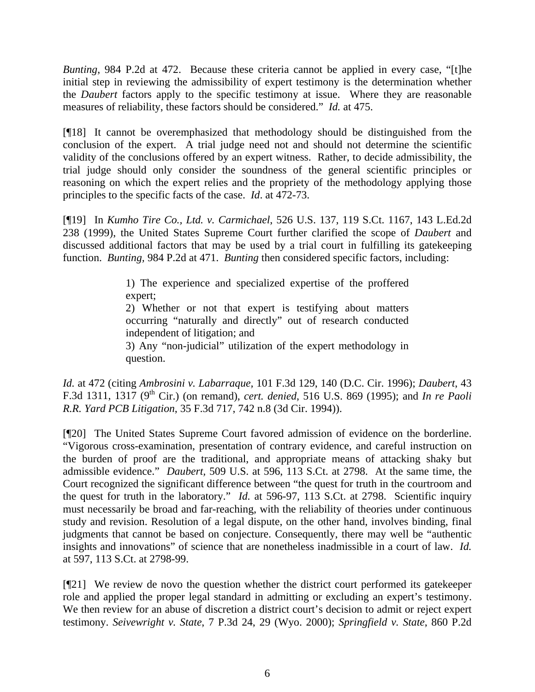*Bunting*, 984 P.2d at 472. Because these criteria cannot be applied in every case, "[t]he initial step in reviewing the admissibility of expert testimony is the determination whether the *Daubert* factors apply to the specific testimony at issue. Where they are reasonable measures of reliability, these factors should be considered." *Id.* at 475.

[¶18] It cannot be overemphasized that methodology should be distinguished from the conclusion of the expert. A trial judge need not and should not determine the scientific validity of the conclusions offered by an expert witness. Rather, to decide admissibility, the trial judge should only consider the soundness of the general scientific principles or reasoning on which the expert relies and the propriety of the methodology applying those principles to the specific facts of the case. *Id*. at 472-73.

[¶19] In *Kumho Tire Co., Ltd. v. Carmichael*, 526 U.S. 137, 119 S.Ct. 1167, 143 L.Ed.2d 238 (1999), the United States Supreme Court further clarified the scope of *Daubert* and discussed additional factors that may be used by a trial court in fulfilling its gatekeeping function. *Bunting,* 984 P.2d at 471. *Bunting* then considered specific factors, including:

> 1) The experience and specialized expertise of the proffered expert; 2) Whether or not that expert is testifying about matters occurring "naturally and directly" out of research conducted independent of litigation; and 3) Any "non-judicial" utilization of the expert methodology in question.

*Id.* at 472 (citing *Ambrosini v. Labarraque,* 101 F.3d 129, 140 (D.C. Cir. 1996); *Daubert*, 43 F.3d 1311, 1317 (9th Cir.) (on remand), *cert. denied*, 516 U.S. 869 (1995); and *In re Paoli R.R. Yard PCB Litigation*, 35 F.3d 717, 742 n.8 (3d Cir. 1994)).

[¶20] The United States Supreme Court favored admission of evidence on the borderline. "Vigorous cross-examination, presentation of contrary evidence, and careful instruction on the burden of proof are the traditional, and appropriate means of attacking shaky but admissible evidence." *Daubert,* 509 U.S. at 596, 113 S.Ct. at 2798. At the same time, the Court recognized the significant difference between "the quest for truth in the courtroom and the quest for truth in the laboratory." *Id.* at 596-97*,* 113 S.Ct. at 2798. Scientific inquiry must necessarily be broad and far-reaching, with the reliability of theories under continuous study and revision. Resolution of a legal dispute, on the other hand, involves binding, final judgments that cannot be based on conjecture. Consequently, there may well be "authentic insights and innovations" of science that are nonetheless inadmissible in a court of law. *Id.* at 597, 113 S.Ct. at 2798-99.

[¶21] We review de novo the question whether the district court performed its gatekeeper role and applied the proper legal standard in admitting or excluding an expert's testimony. We then review for an abuse of discretion a district court's decision to admit or reject expert testimony. *Seivewright v. State*, 7 P.3d 24, 29 (Wyo. 2000); *Springfield v. State*, 860 P.2d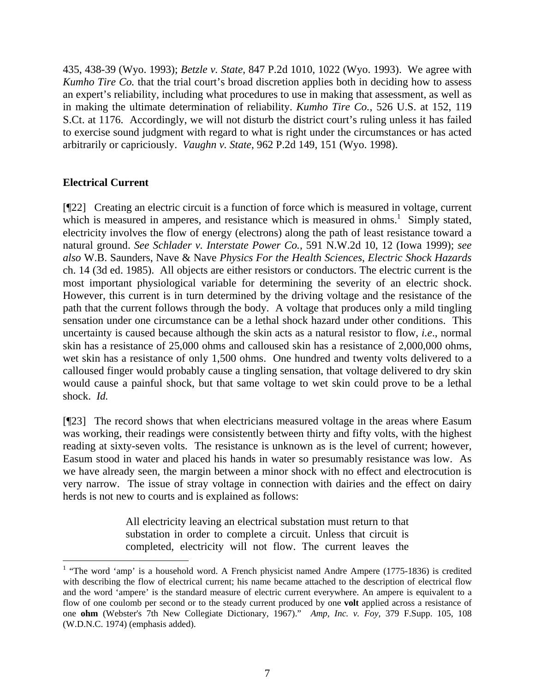435, 438-39 (Wyo. 1993); *Betzle v. State*, 847 P.2d 1010, 1022 (Wyo. 1993). We agree with *Kumho Tire Co.* that the trial court's broad discretion applies both in deciding how to assess an expert's reliability, including what procedures to use in making that assessment, as well as in making the ultimate determination of reliability. *Kumho Tire Co.*, 526 U.S. at 152, 119 S.Ct. at 1176. Accordingly, we will not disturb the district court's ruling unless it has failed to exercise sound judgment with regard to what is right under the circumstances or has acted arbitrarily or capriciously. *Vaughn v. State*, 962 P.2d 149, 151 (Wyo. 1998).

# **Electrical Current**

 $\overline{a}$ 

[¶22] Creating an electric circuit is a function of force which is measured in voltage, current which is measured in amperes, and resistance which is measured in ohms.<sup>1</sup> Simply stated, electricity involves the flow of energy (electrons) along the path of least resistance toward a natural ground. *See Schlader v. Interstate Power Co.,* 591 N.W.2d 10, 12 (Iowa 1999); *see also* W.B. Saunders, Nave & Nave *Physics For the Health Sciences*, *Electric Shock Hazards* ch. 14 (3d ed. 1985). All objects are either resistors or conductors. The electric current is the most important physiological variable for determining the severity of an electric shock. However, this current is in turn determined by the driving voltage and the resistance of the path that the current follows through the body. A voltage that produces only a mild tingling sensation under one circumstance can be a lethal shock hazard under other conditions. This uncertainty is caused because although the skin acts as a natural resistor to flow, *i.e*., normal skin has a resistance of 25,000 ohms and calloused skin has a resistance of 2,000,000 ohms, wet skin has a resistance of only 1,500 ohms. One hundred and twenty volts delivered to a calloused finger would probably cause a tingling sensation, that voltage delivered to dry skin would cause a painful shock, but that same voltage to wet skin could prove to be a lethal shock. *Id.*

[¶23] The record shows that when electricians measured voltage in the areas where Easum was working, their readings were consistently between thirty and fifty volts, with the highest reading at sixty-seven volts. The resistance is unknown as is the level of current; however, Easum stood in water and placed his hands in water so presumably resistance was low. As we have already seen, the margin between a minor shock with no effect and electrocution is very narrow. The issue of stray voltage in connection with dairies and the effect on dairy herds is not new to courts and is explained as follows:

> All electricity leaving an electrical substation must return to that substation in order to complete a circuit. Unless that circuit is completed, electricity will not flow. The current leaves the

<sup>&</sup>lt;sup>1</sup> "The word 'amp' is a household word. A French physicist named Andre Ampere (1775-1836) is credited with describing the flow of electrical current; his name became attached to the description of electrical flow and the word 'ampere' is the standard measure of electric current everywhere. An ampere is equivalent to a flow of one coulomb per second or to the steady current produced by one **volt** applied across a resistance of one **ohm** (Webster's 7th New Collegiate Dictionary, 1967)." *Amp, Inc. v. Foy,* 379 F.Supp. 105, 108 (W.D.N.C. 1974) (emphasis added).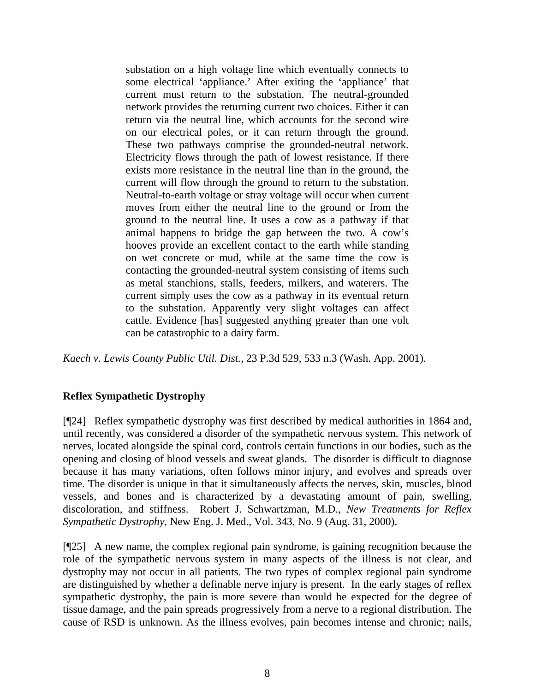substation on a high voltage line which eventually connects to some electrical 'appliance.' After exiting the 'appliance' that current must return to the substation. The neutral-grounded network provides the returning current two choices. Either it can return via the neutral line, which accounts for the second wire on our electrical poles, or it can return through the ground. These two pathways comprise the grounded-neutral network. Electricity flows through the path of lowest resistance. If there exists more resistance in the neutral line than in the ground, the current will flow through the ground to return to the substation. Neutral-to-earth voltage or stray voltage will occur when current moves from either the neutral line to the ground or from the ground to the neutral line. It uses a cow as a pathway if that animal happens to bridge the gap between the two. A cow's hooves provide an excellent contact to the earth while standing on wet concrete or mud, while at the same time the cow is contacting the grounded-neutral system consisting of items such as metal stanchions, stalls, feeders, milkers, and waterers. The current simply uses the cow as a pathway in its eventual return to the substation. Apparently very slight voltages can affect cattle. Evidence [has] suggested anything greater than one volt can be catastrophic to a dairy farm.

*Kaech v. Lewis County Public Util. Dist.,* 23 P.3d 529, 533 n.3 (Wash. App. 2001).

## **Reflex Sympathetic Dystrophy**

[¶24] Reflex sympathetic dystrophy was first described by medical authorities in 1864 and, until recently, was considered a disorder of the sympathetic nervous system. This network of nerves, located alongside the spinal cord, controls certain functions in our bodies, such as the opening and closing of blood vessels and sweat glands. The disorder is difficult to diagnose because it has many variations, often follows minor injury, and evolves and spreads over time. The disorder is unique in that it simultaneously affects the nerves, skin, muscles, blood vessels, and bones and is characterized by a devastating amount of pain, swelling, discoloration, and stiffness. Robert J. Schwartzman, M.D., *New Treatments for Reflex Sympathetic Dystrophy*, New Eng. J. Med., Vol. 343, No. 9 (Aug. 31, 2000).

[¶25] A new name, the complex regional pain syndrome, is gaining recognition because the role of the sympathetic nervous system in many aspects of the illness is not clear, and dystrophy may not occur in all patients. The two types of complex regional pain syndrome are distinguished by whether a definable nerve injury is present. In the early stages of reflex sympathetic dystrophy, the pain is more severe than would be expected for the degree of tissue damage, and the pain spreads progressively from a nerve to a regional distribution. The cause of RSD is unknown. As the illness evolves, pain becomes intense and chronic; nails,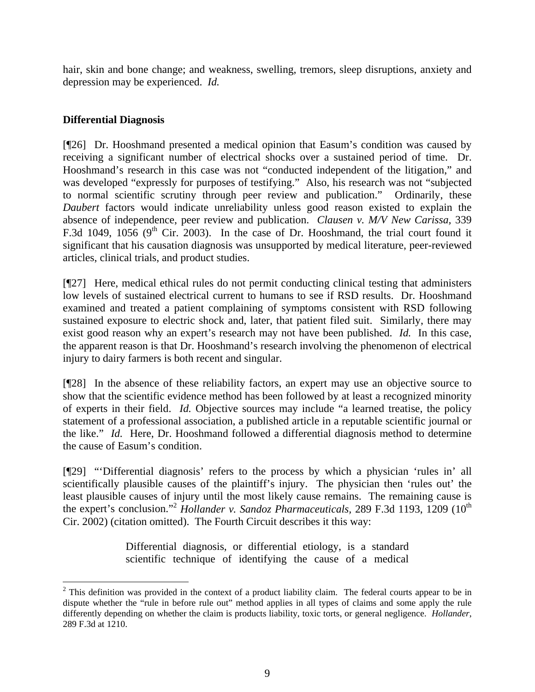hair, skin and bone change; and weakness, swelling, tremors, sleep disruptions, anxiety and depression may be experienced. *Id.*

# **Differential Diagnosis**

 $\overline{a}$ 

[¶26] Dr. Hooshmand presented a medical opinion that Easum's condition was caused by receiving a significant number of electrical shocks over a sustained period of time. Dr. Hooshmand's research in this case was not "conducted independent of the litigation," and was developed "expressly for purposes of testifying." Also, his research was not "subjected to normal scientific scrutiny through peer review and publication." Ordinarily, these *Daubert* factors would indicate unreliability unless good reason existed to explain the absence of independence, peer review and publication. *Clausen v. M/V New Carissa,* 339 F.3d 1049, 1056 ( $9<sup>th</sup>$  Cir. 2003). In the case of Dr. Hooshmand, the trial court found it significant that his causation diagnosis was unsupported by medical literature, peer-reviewed articles, clinical trials, and product studies.

[¶27] Here, medical ethical rules do not permit conducting clinical testing that administers low levels of sustained electrical current to humans to see if RSD results. Dr. Hooshmand examined and treated a patient complaining of symptoms consistent with RSD following sustained exposure to electric shock and, later, that patient filed suit. Similarly, there may exist good reason why an expert's research may not have been published. *Id.* In this case, the apparent reason is that Dr. Hooshmand's research involving the phenomenon of electrical injury to dairy farmers is both recent and singular.

[¶28] In the absence of these reliability factors, an expert may use an objective source to show that the scientific evidence method has been followed by at least a recognized minority of experts in their field. *Id.* Objective sources may include "a learned treatise, the policy statement of a professional association, a published article in a reputable scientific journal or the like." *Id.* Here, Dr. Hooshmand followed a differential diagnosis method to determine the cause of Easum's condition.

[¶29] "'Differential diagnosis' refers to the process by which a physician 'rules in' all scientifically plausible causes of the plaintiff's injury. The physician then 'rules out' the least plausible causes of injury until the most likely cause remains. The remaining cause is the expert's conclusion."<sup>2</sup> *Hollander v. Sandoz Pharmaceuticals,* 289 F.3d 1193, 1209 (10<sup>th</sup>) Cir. 2002) (citation omitted). The Fourth Circuit describes it this way:

> Differential diagnosis, or differential etiology, is a standard scientific technique of identifying the cause of a medical

 $2$  This definition was provided in the context of a product liability claim. The federal courts appear to be in dispute whether the "rule in before rule out" method applies in all types of claims and some apply the rule differently depending on whether the claim is products liability, toxic torts, or general negligence. *Hollander*, 289 F.3d at 1210.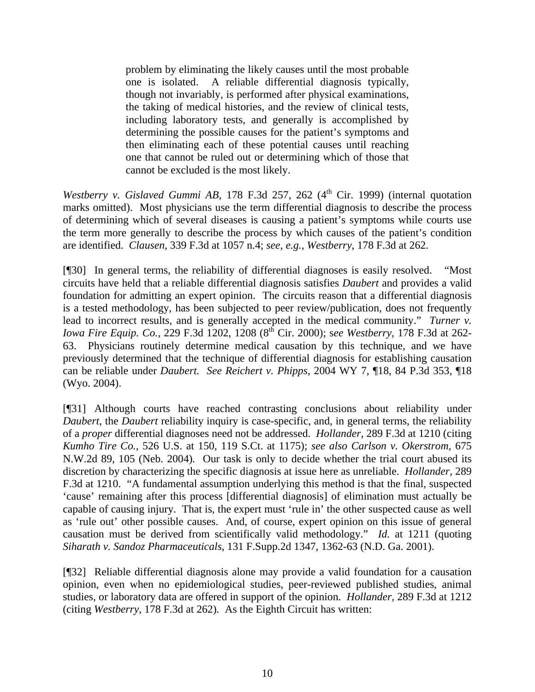problem by eliminating the likely causes until the most probable one is isolated. A reliable differential diagnosis typically, though not invariably, is performed after physical examinations, the taking of medical histories, and the review of clinical tests, including laboratory tests, and generally is accomplished by determining the possible causes for the patient's symptoms and then eliminating each of these potential causes until reaching one that cannot be ruled out or determining which of those that cannot be excluded is the most likely.

*Westberry v. Gislaved Gummi AB, 178 F.3d 257, 262 (4<sup>th</sup> Cir. 1999) (internal quotation* marks omitted). Most physicians use the term differential diagnosis to describe the process of determining which of several diseases is causing a patient's symptoms while courts use the term more generally to describe the process by which causes of the patient's condition are identified. *Clausen*, 339 F.3d at 1057 n.4; *see, e.g., Westberry*, 178 F.3d at 262.

[¶30] In general terms, the reliability of differential diagnoses is easily resolved. "Most circuits have held that a reliable differential diagnosis satisfies *Daubert* and provides a valid foundation for admitting an expert opinion. The circuits reason that a differential diagnosis is a tested methodology, has been subjected to peer review/publication, does not frequently lead to incorrect results, and is generally accepted in the medical community." *Turner v. Iowa Fire Equip. Co., 229 F.3d 1202, 1208 (8<sup>th</sup> Cir. 2000); see Westberry, 178 F.3d at 262-*63. Physicians routinely determine medical causation by this technique, and we have previously determined that the technique of differential diagnosis for establishing causation can be reliable under *Daubert. See Reichert v. Phipps,* 2004 WY 7, ¶18, 84 P.3d 353, ¶18 (Wyo. 2004).

[¶31] Although courts have reached contrasting conclusions about reliability under *Daubert*, the *Daubert* reliability inquiry is case-specific, and, in general terms, the reliability of a *proper* differential diagnoses need not be addressed. *Hollander,* 289 F.3d at 1210 (citing *Kumho Tire Co.,* 526 U.S. at 150, 119 S.Ct. at 1175); *see also Carlson v. Okerstrom,* 675 N.W.2d 89, 105 (Neb. 2004)*.* Our task is only to decide whether the trial court abused its discretion by characterizing the specific diagnosis at issue here as unreliable. *Hollander,* 289 F.3d at 1210. "A fundamental assumption underlying this method is that the final, suspected 'cause' remaining after this process [differential diagnosis] of elimination must actually be capable of causing injury. That is, the expert must 'rule in' the other suspected cause as well as 'rule out' other possible causes. And, of course, expert opinion on this issue of general causation must be derived from scientifically valid methodology." *Id.* at 1211 (quoting *Siharath v. Sandoz Pharmaceuticals*, 131 F.Supp.2d 1347, 1362-63 (N.D. Ga. 2001).

[¶32] Reliable differential diagnosis alone may provide a valid foundation for a causation opinion, even when no epidemiological studies, peer-reviewed published studies, animal studies, or laboratory data are offered in support of the opinion. *Hollander,* 289 F.3d at 1212 (citing *Westberry*, 178 F.3d at 262)*.* As the Eighth Circuit has written: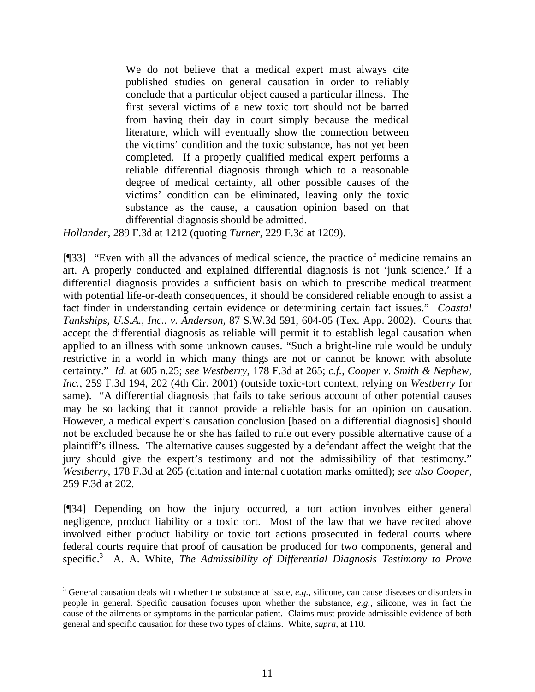We do not believe that a medical expert must always cite published studies on general causation in order to reliably conclude that a particular object caused a particular illness. The first several victims of a new toxic tort should not be barred from having their day in court simply because the medical literature, which will eventually show the connection between the victims' condition and the toxic substance, has not yet been completed. If a properly qualified medical expert performs a reliable differential diagnosis through which to a reasonable degree of medical certainty, all other possible causes of the victims' condition can be eliminated, leaving only the toxic substance as the cause, a causation opinion based on that differential diagnosis should be admitted.

*Hollander,* 289 F.3d at 1212 (quoting *Turner,* 229 F.3d at 1209).

[¶33] "Even with all the advances of medical science, the practice of medicine remains an art. A properly conducted and explained differential diagnosis is not 'junk science.' If a differential diagnosis provides a sufficient basis on which to prescribe medical treatment with potential life-or-death consequences, it should be considered reliable enough to assist a fact finder in understanding certain evidence or determining certain fact issues." *Coastal Tankships, U.S.A., Inc.. v. Anderson,* 87 S.W.3d 591, 604-05 (Tex. App. 2002). Courts that accept the differential diagnosis as reliable will permit it to establish legal causation when applied to an illness with some unknown causes. "Such a bright-line rule would be unduly restrictive in a world in which many things are not or cannot be known with absolute certainty." *Id.* at 605 n.25; *see Westberry*, 178 F.3d at 265; *c.f.*, *Cooper v. Smith & Nephew, Inc.*, 259 F.3d 194, 202 (4th Cir. 2001) (outside toxic-tort context, relying on *Westberry* for same). "A differential diagnosis that fails to take serious account of other potential causes may be so lacking that it cannot provide a reliable basis for an opinion on causation. However, a medical expert's causation conclusion [based on a differential diagnosis] should not be excluded because he or she has failed to rule out every possible alternative cause of a plaintiff's illness. The alternative causes suggested by a defendant affect the weight that the jury should give the expert's testimony and not the admissibility of that testimony." *Westberry*, 178 F.3d at 265 (citation and internal quotation marks omitted); *see also Cooper*, 259 F.3d at 202.

[¶34] Depending on how the injury occurred, a tort action involves either general negligence, product liability or a toxic tort. Most of the law that we have recited above involved either product liability or toxic tort actions prosecuted in federal courts where federal courts require that proof of causation be produced for two components, general and specific.<sup>3</sup> A. A. White, *The Admissibility of Differential Diagnosis Testimony to Prove* 

 $\overline{a}$ 

<sup>&</sup>lt;sup>3</sup> General causation deals with whether the substance at issue, *e.g.*, silicone, can cause diseases or disorders in people in general. Specific causation focuses upon whether the substance, *e.g.,* silicone, was in fact the cause of the ailments or symptoms in the particular patient. Claims must provide admissible evidence of both general and specific causation for these two types of claims. White, *supra*, at 110.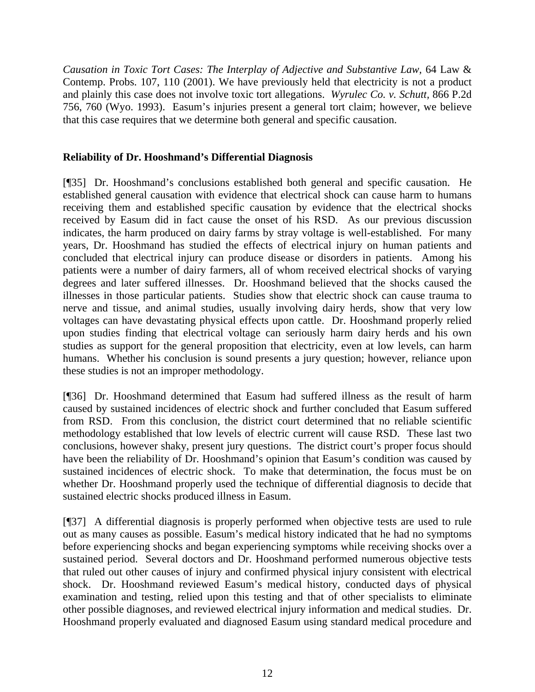*Causation in Toxic Tort Cases: The Interplay of Adjective and Substantive Law,* 64 Law & Contemp. Probs. 107, 110 (2001). We have previously held that electricity is not a product and plainly this case does not involve toxic tort allegations. *Wyrulec Co. v. Schutt,* 866 P.2d 756, 760 (Wyo. 1993). Easum's injuries present a general tort claim; however, we believe that this case requires that we determine both general and specific causation.

## **Reliability of Dr. Hooshmand's Differential Diagnosis**

[¶35] Dr. Hooshmand's conclusions established both general and specific causation. He established general causation with evidence that electrical shock can cause harm to humans receiving them and established specific causation by evidence that the electrical shocks received by Easum did in fact cause the onset of his RSD. As our previous discussion indicates, the harm produced on dairy farms by stray voltage is well-established. For many years, Dr. Hooshmand has studied the effects of electrical injury on human patients and concluded that electrical injury can produce disease or disorders in patients. Among his patients were a number of dairy farmers, all of whom received electrical shocks of varying degrees and later suffered illnesses. Dr. Hooshmand believed that the shocks caused the illnesses in those particular patients. Studies show that electric shock can cause trauma to nerve and tissue, and animal studies, usually involving dairy herds, show that very low voltages can have devastating physical effects upon cattle. Dr. Hooshmand properly relied upon studies finding that electrical voltage can seriously harm dairy herds and his own studies as support for the general proposition that electricity, even at low levels, can harm humans. Whether his conclusion is sound presents a jury question; however, reliance upon these studies is not an improper methodology.

[¶36] Dr. Hooshmand determined that Easum had suffered illness as the result of harm caused by sustained incidences of electric shock and further concluded that Easum suffered from RSD. From this conclusion, the district court determined that no reliable scientific methodology established that low levels of electric current will cause RSD. These last two conclusions, however shaky, present jury questions. The district court's proper focus should have been the reliability of Dr. Hooshmand's opinion that Easum's condition was caused by sustained incidences of electric shock. To make that determination, the focus must be on whether Dr. Hooshmand properly used the technique of differential diagnosis to decide that sustained electric shocks produced illness in Easum.

[¶37] A differential diagnosis is properly performed when objective tests are used to rule out as many causes as possible. Easum's medical history indicated that he had no symptoms before experiencing shocks and began experiencing symptoms while receiving shocks over a sustained period. Several doctors and Dr. Hooshmand performed numerous objective tests that ruled out other causes of injury and confirmed physical injury consistent with electrical shock. Dr. Hooshmand reviewed Easum's medical history, conducted days of physical examination and testing, relied upon this testing and that of other specialists to eliminate other possible diagnoses, and reviewed electrical injury information and medical studies. Dr. Hooshmand properly evaluated and diagnosed Easum using standard medical procedure and